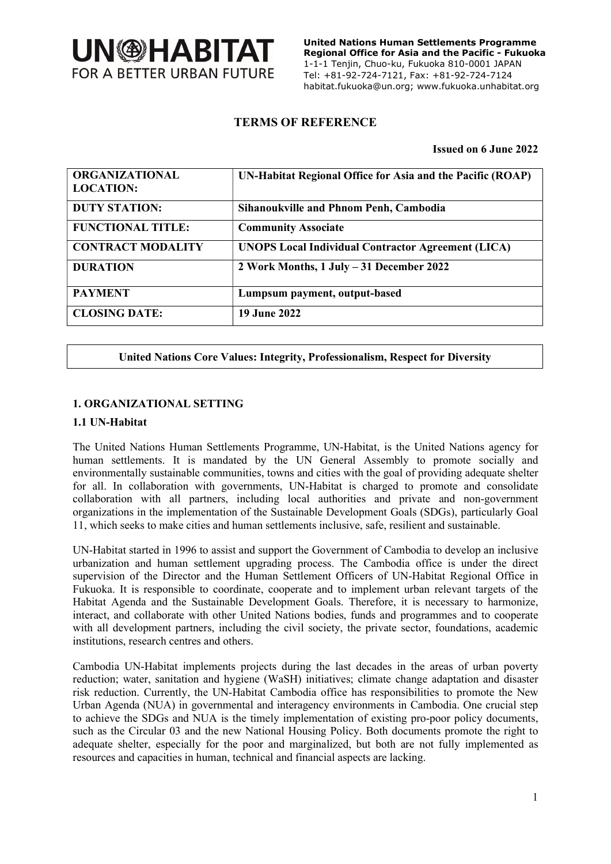

 United Nations Human Settlements Programme Regional Office for Asia and the Pacific - Fukuoka 1-1-1 Tenjin, Chuo-ku, Fukuoka 810-0001 JAPAN Tel: +81-92-724-7121, Fax: +81-92-724-7124 habitat.fukuoka@un.org; www.fukuoka.unhabitat.org

### TERMS OF REFERENCE

#### Issued on 6 June 2022

| <b>ORGANIZATIONAL</b><br><b>LOCATION:</b> | UN-Habitat Regional Office for Asia and the Pacific (ROAP) |
|-------------------------------------------|------------------------------------------------------------|
| <b>DUTY STATION:</b>                      | <b>Sihanoukville and Phnom Penh, Cambodia</b>              |
| <b>FUNCTIONAL TITLE:</b>                  | <b>Community Associate</b>                                 |
| <b>CONTRACT MODALITY</b>                  | <b>UNOPS Local Individual Contractor Agreement (LICA)</b>  |
| <b>DURATION</b>                           | 2 Work Months, 1 July - 31 December 2022                   |
| <b>PAYMENT</b>                            | Lumpsum payment, output-based                              |
| <b>CLOSING DATE:</b>                      | <b>19 June 2022</b>                                        |

#### United Nations Core Values: Integrity, Professionalism, Respect for Diversity

#### 1. ORGANIZATIONAL SETTING

#### 1.1 UN-Habitat

The United Nations Human Settlements Programme, UN-Habitat, is the United Nations agency for human settlements. It is mandated by the UN General Assembly to promote socially and environmentally sustainable communities, towns and cities with the goal of providing adequate shelter for all. In collaboration with governments, UN-Habitat is charged to promote and consolidate collaboration with all partners, including local authorities and private and non-government organizations in the implementation of the Sustainable Development Goals (SDGs), particularly Goal 11, which seeks to make cities and human settlements inclusive, safe, resilient and sustainable.

UN-Habitat started in 1996 to assist and support the Government of Cambodia to develop an inclusive urbanization and human settlement upgrading process. The Cambodia office is under the direct supervision of the Director and the Human Settlement Officers of UN-Habitat Regional Office in Fukuoka. It is responsible to coordinate, cooperate and to implement urban relevant targets of the Habitat Agenda and the Sustainable Development Goals. Therefore, it is necessary to harmonize, interact, and collaborate with other United Nations bodies, funds and programmes and to cooperate with all development partners, including the civil society, the private sector, foundations, academic institutions, research centres and others.

Cambodia UN-Habitat implements projects during the last decades in the areas of urban poverty reduction; water, sanitation and hygiene (WaSH) initiatives; climate change adaptation and disaster risk reduction. Currently, the UN-Habitat Cambodia office has responsibilities to promote the New Urban Agenda (NUA) in governmental and interagency environments in Cambodia. One crucial step to achieve the SDGs and NUA is the timely implementation of existing pro-poor policy documents, such as the Circular 03 and the new National Housing Policy. Both documents promote the right to adequate shelter, especially for the poor and marginalized, but both are not fully implemented as resources and capacities in human, technical and financial aspects are lacking.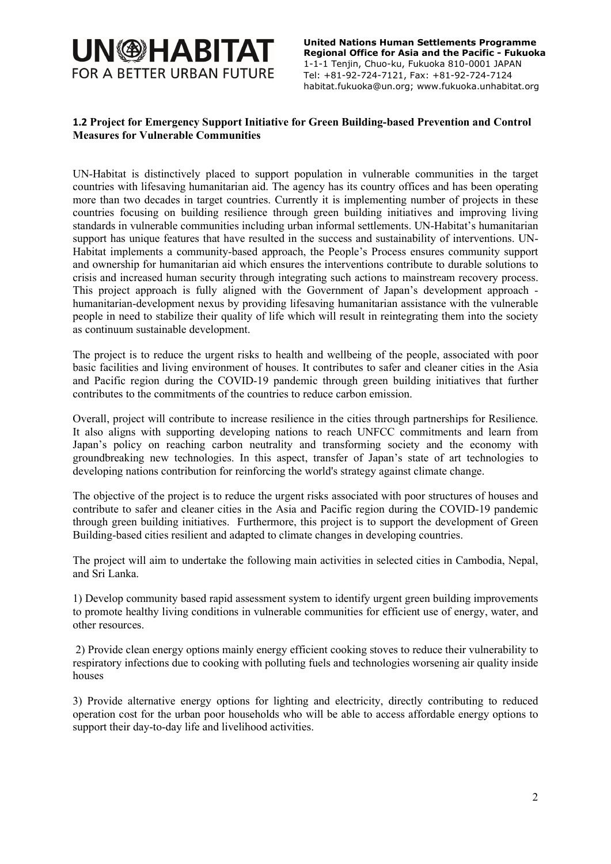# **UN@HABITAT FOR A BETTER URBAN FUTURE**

 United Nations Human Settlements Programme Regional Office for Asia and the Pacific - Fukuoka 1-1-1 Tenjin, Chuo-ku, Fukuoka 810-0001 JAPAN Tel: +81-92-724-7121, Fax: +81-92-724-7124 habitat.fukuoka@un.org; www.fukuoka.unhabitat.org

### 1.2 Project for Emergency Support Initiative for Green Building-based Prevention and Control Measures for Vulnerable Communities

UN-Habitat is distinctively placed to support population in vulnerable communities in the target countries with lifesaving humanitarian aid. The agency has its country offices and has been operating more than two decades in target countries. Currently it is implementing number of projects in these countries focusing on building resilience through green building initiatives and improving living standards in vulnerable communities including urban informal settlements. UN-Habitat's humanitarian support has unique features that have resulted in the success and sustainability of interventions. UN-Habitat implements a community-based approach, the People's Process ensures community support and ownership for humanitarian aid which ensures the interventions contribute to durable solutions to crisis and increased human security through integrating such actions to mainstream recovery process. This project approach is fully aligned with the Government of Japan's development approach humanitarian-development nexus by providing lifesaving humanitarian assistance with the vulnerable people in need to stabilize their quality of life which will result in reintegrating them into the society as continuum sustainable development.

The project is to reduce the urgent risks to health and wellbeing of the people, associated with poor basic facilities and living environment of houses. It contributes to safer and cleaner cities in the Asia and Pacific region during the COVID-19 pandemic through green building initiatives that further contributes to the commitments of the countries to reduce carbon emission.

Overall, project will contribute to increase resilience in the cities through partnerships for Resilience. It also aligns with supporting developing nations to reach UNFCC commitments and learn from Japan's policy on reaching carbon neutrality and transforming society and the economy with groundbreaking new technologies. In this aspect, transfer of Japan's state of art technologies to developing nations contribution for reinforcing the world's strategy against climate change.

The objective of the project is to reduce the urgent risks associated with poor structures of houses and contribute to safer and cleaner cities in the Asia and Pacific region during the COVID-19 pandemic through green building initiatives. Furthermore, this project is to support the development of Green Building-based cities resilient and adapted to climate changes in developing countries.

The project will aim to undertake the following main activities in selected cities in Cambodia, Nepal, and Sri Lanka.

1) Develop community based rapid assessment system to identify urgent green building improvements to promote healthy living conditions in vulnerable communities for efficient use of energy, water, and other resources.

 2) Provide clean energy options mainly energy efficient cooking stoves to reduce their vulnerability to respiratory infections due to cooking with polluting fuels and technologies worsening air quality inside houses

3) Provide alternative energy options for lighting and electricity, directly contributing to reduced operation cost for the urban poor households who will be able to access affordable energy options to support their day-to-day life and livelihood activities.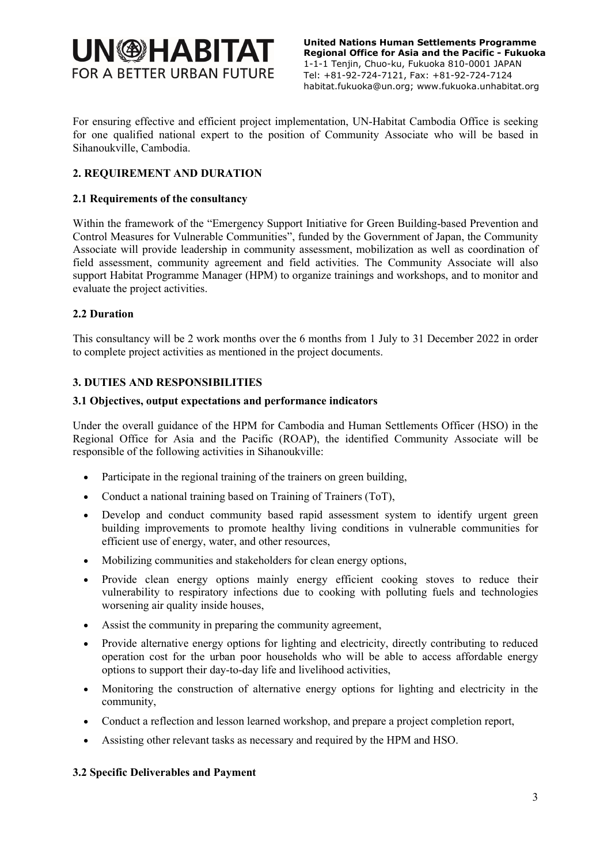# **UN@HABITAT FOR A BETTER URBAN FUTURE**

 United Nations Human Settlements Programme Regional Office for Asia and the Pacific - Fukuoka 1-1-1 Tenjin, Chuo-ku, Fukuoka 810-0001 JAPAN Tel: +81-92-724-7121, Fax: +81-92-724-7124 habitat.fukuoka@un.org; www.fukuoka.unhabitat.org

For ensuring effective and efficient project implementation, UN-Habitat Cambodia Office is seeking for one qualified national expert to the position of Community Associate who will be based in Sihanoukville, Cambodia.

## 2. REQUIREMENT AND DURATION

### 2.1 Requirements of the consultancy

Within the framework of the "Emergency Support Initiative for Green Building-based Prevention and Control Measures for Vulnerable Communities", funded by the Government of Japan, the Community Associate will provide leadership in community assessment, mobilization as well as coordination of field assessment, community agreement and field activities. The Community Associate will also support Habitat Programme Manager (HPM) to organize trainings and workshops, and to monitor and evaluate the project activities.

### 2.2 Duration

This consultancy will be 2 work months over the 6 months from 1 July to 31 December 2022 in order to complete project activities as mentioned in the project documents.

### 3. DUTIES AND RESPONSIBILITIES

#### 3.1 Objectives, output expectations and performance indicators

Under the overall guidance of the HPM for Cambodia and Human Settlements Officer (HSO) in the Regional Office for Asia and the Pacific (ROAP), the identified Community Associate will be responsible of the following activities in Sihanoukville:

- Participate in the regional training of the trainers on green building,
- Conduct a national training based on Training of Trainers (ToT),
- Develop and conduct community based rapid assessment system to identify urgent green building improvements to promote healthy living conditions in vulnerable communities for efficient use of energy, water, and other resources,
- Mobilizing communities and stakeholders for clean energy options,
- Provide clean energy options mainly energy efficient cooking stoves to reduce their vulnerability to respiratory infections due to cooking with polluting fuels and technologies worsening air quality inside houses,
- Assist the community in preparing the community agreement,
- Provide alternative energy options for lighting and electricity, directly contributing to reduced operation cost for the urban poor households who will be able to access affordable energy options to support their day-to-day life and livelihood activities,
- Monitoring the construction of alternative energy options for lighting and electricity in the community,
- Conduct a reflection and lesson learned workshop, and prepare a project completion report,
- Assisting other relevant tasks as necessary and required by the HPM and HSO.

#### 3.2 Specific Deliverables and Payment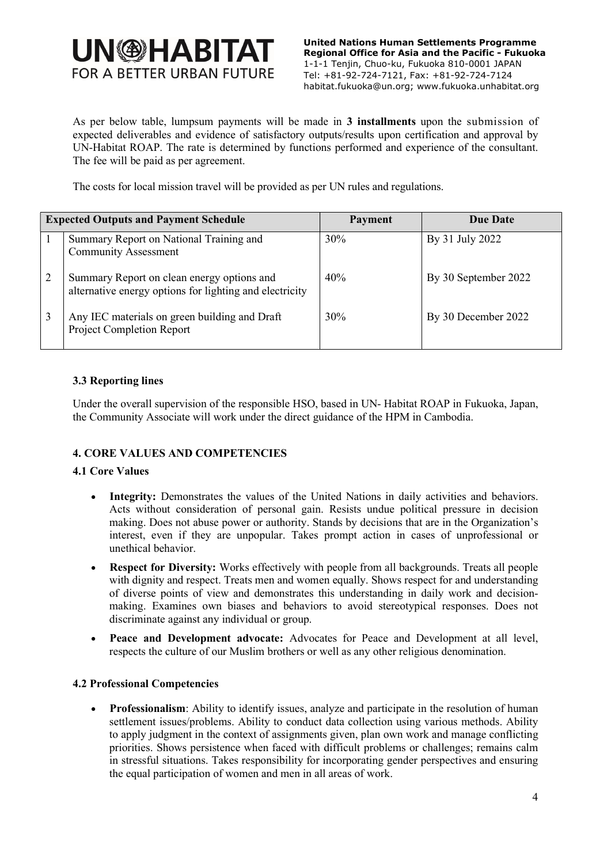# **UN<sup>®HABITAT**</sup> **FOR A BETTER URBAN FUTURE**

 United Nations Human Settlements Programme Regional Office for Asia and the Pacific - Fukuoka 1-1-1 Tenjin, Chuo-ku, Fukuoka 810-0001 JAPAN Tel: +81-92-724-7121, Fax: +81-92-724-7124 habitat.fukuoka@un.org; www.fukuoka.unhabitat.org

As per below table, lumpsum payments will be made in 3 installments upon the submission of expected deliverables and evidence of satisfactory outputs/results upon certification and approval by UN-Habitat ROAP. The rate is determined by functions performed and experience of the consultant. The fee will be paid as per agreement.

The costs for local mission travel will be provided as per UN rules and regulations.

| <b>Expected Outputs and Payment Schedule</b> |  |                                                                                                       | Payment | Due Date             |
|----------------------------------------------|--|-------------------------------------------------------------------------------------------------------|---------|----------------------|
|                                              |  | Summary Report on National Training and<br><b>Community Assessment</b>                                | 30%     | By 31 July 2022      |
|                                              |  | Summary Report on clean energy options and<br>alternative energy options for lighting and electricity | 40%     | By 30 September 2022 |
|                                              |  | Any IEC materials on green building and Draft<br>Project Completion Report                            | 30%     | By 30 December 2022  |

### 3.3 Reporting lines

Under the overall supervision of the responsible HSO, based in UN- Habitat ROAP in Fukuoka, Japan, the Community Associate will work under the direct guidance of the HPM in Cambodia.

#### 4. CORE VALUES AND COMPETENCIES

#### 4.1 Core Values

- Integrity: Demonstrates the values of the United Nations in daily activities and behaviors. Acts without consideration of personal gain. Resists undue political pressure in decision making. Does not abuse power or authority. Stands by decisions that are in the Organization's interest, even if they are unpopular. Takes prompt action in cases of unprofessional or unethical behavior.
- Respect for Diversity: Works effectively with people from all backgrounds. Treats all people with dignity and respect. Treats men and women equally. Shows respect for and understanding of diverse points of view and demonstrates this understanding in daily work and decisionmaking. Examines own biases and behaviors to avoid stereotypical responses. Does not discriminate against any individual or group.
- Peace and Development advocate: Advocates for Peace and Development at all level, respects the culture of our Muslim brothers or well as any other religious denomination.

#### 4.2 Professional Competencies

 Professionalism: Ability to identify issues, analyze and participate in the resolution of human settlement issues/problems. Ability to conduct data collection using various methods. Ability to apply judgment in the context of assignments given, plan own work and manage conflicting priorities. Shows persistence when faced with difficult problems or challenges; remains calm in stressful situations. Takes responsibility for incorporating gender perspectives and ensuring the equal participation of women and men in all areas of work.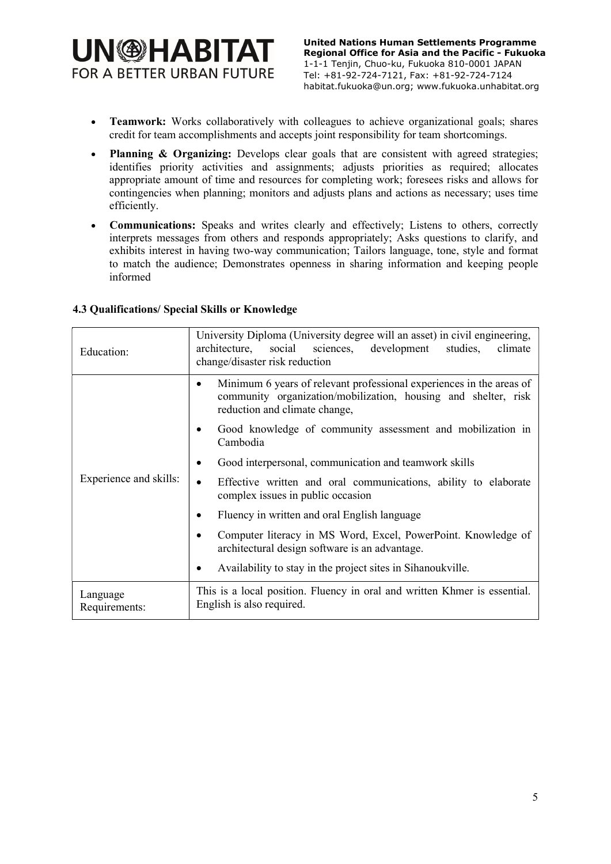# **UN<sup>®HABITAT**</sup> **FOR A BETTER URBAN FUTURE**

- Teamwork: Works collaboratively with colleagues to achieve organizational goals; shares credit for team accomplishments and accepts joint responsibility for team shortcomings.
- Planning & Organizing: Develops clear goals that are consistent with agreed strategies; identifies priority activities and assignments; adjusts priorities as required; allocates appropriate amount of time and resources for completing work; foresees risks and allows for contingencies when planning; monitors and adjusts plans and actions as necessary; uses time efficiently.
- **Communications:** Speaks and writes clearly and effectively; Listens to others, correctly interprets messages from others and responds appropriately; Asks questions to clarify, and exhibits interest in having two-way communication; Tailors language, tone, style and format to match the audience; Demonstrates openness in sharing information and keeping people informed

### 4.3 Qualifications/ Special Skills or Knowledge

| Education:                | University Diploma (University degree will an asset) in civil engineering,<br>development<br>architecture,<br>social<br>sciences,<br>studies,<br>climate<br>change/disaster risk reduction                                                 |  |
|---------------------------|--------------------------------------------------------------------------------------------------------------------------------------------------------------------------------------------------------------------------------------------|--|
|                           | Minimum 6 years of relevant professional experiences in the areas of<br>community organization/mobilization, housing and shelter, risk<br>reduction and climate change,<br>Good knowledge of community assessment and mobilization in<br>٠ |  |
|                           | Cambodia                                                                                                                                                                                                                                   |  |
|                           | Good interpersonal, communication and teamwork skills<br>٠                                                                                                                                                                                 |  |
| Experience and skills:    | Effective written and oral communications, ability to elaborate<br>$\bullet$<br>complex issues in public occasion                                                                                                                          |  |
|                           | Fluency in written and oral English language<br>٠                                                                                                                                                                                          |  |
|                           | Computer literacy in MS Word, Excel, PowerPoint. Knowledge of<br>٠<br>architectural design software is an advantage.                                                                                                                       |  |
|                           | Availability to stay in the project sites in Sihanoukville.<br>٠                                                                                                                                                                           |  |
| Language<br>Requirements: | This is a local position. Fluency in oral and written Khmer is essential.<br>English is also required.                                                                                                                                     |  |